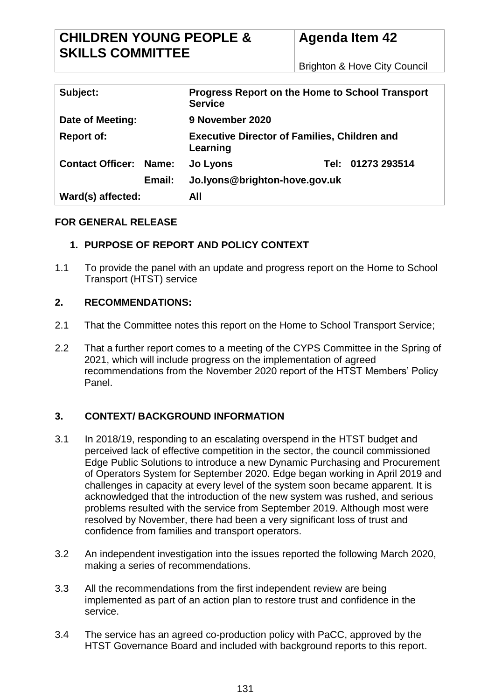# **CHILDREN YOUNG PEOPLE & SKILLS COMMITTEE**

Brighton & Hove City Council

| Subject:                      | <b>Progress Report on the Home to School Transport</b><br><b>Service</b> |
|-------------------------------|--------------------------------------------------------------------------|
| Date of Meeting:              | 9 November 2020                                                          |
| <b>Report of:</b>             | <b>Executive Director of Families, Children and</b><br>Learning          |
| <b>Contact Officer: Name:</b> | Tel: 01273 293514<br>Jo Lyons                                            |
| Email:                        | Jo.lyons@brighton-hove.gov.uk                                            |
| Ward(s) affected:             | All                                                                      |

## **FOR GENERAL RELEASE**

# **1. PURPOSE OF REPORT AND POLICY CONTEXT**

1.1 To provide the panel with an update and progress report on the Home to School Transport (HTST) service

# **2. RECOMMENDATIONS:**

- 2.1 That the Committee notes this report on the Home to School Transport Service;
- 2.2 That a further report comes to a meeting of the CYPS Committee in the Spring of 2021, which will include progress on the implementation of agreed recommendations from the November 2020 report of the HTST Members' Policy Panel.

# **3. CONTEXT/ BACKGROUND INFORMATION**

- 3.1 In 2018/19, responding to an escalating overspend in the HTST budget and perceived lack of effective competition in the sector, the council commissioned Edge Public Solutions to introduce a new Dynamic Purchasing and Procurement of Operators System for September 2020. Edge began working in April 2019 and challenges in capacity at every level of the system soon became apparent. It is acknowledged that the introduction of the new system was rushed, and serious problems resulted with the service from September 2019. Although most were resolved by November, there had been a very significant loss of trust and confidence from families and transport operators.
- 3.2 An independent investigation into the issues reported the following March 2020, making a series of recommendations.
- 3.3 All the recommendations from the first independent review are being implemented as part of an action plan to restore trust and confidence in the service.
- 3.4 The service has an agreed co-production policy with PaCC, approved by the HTST Governance Board and included with background reports to this report.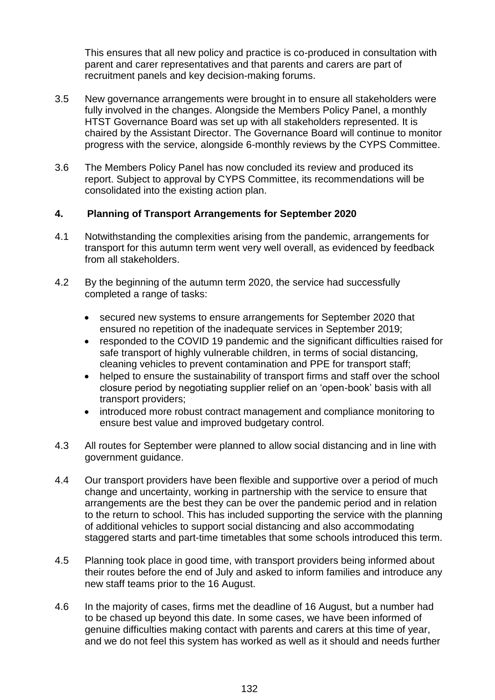This ensures that all new policy and practice is co-produced in consultation with parent and carer representatives and that parents and carers are part of recruitment panels and key decision-making forums.

- 3.5 New governance arrangements were brought in to ensure all stakeholders were fully involved in the changes. Alongside the Members Policy Panel, a monthly HTST Governance Board was set up with all stakeholders represented. It is chaired by the Assistant Director. The Governance Board will continue to monitor progress with the service, alongside 6-monthly reviews by the CYPS Committee.
- 3.6 The Members Policy Panel has now concluded its review and produced its report. Subject to approval by CYPS Committee, its recommendations will be consolidated into the existing action plan.

## **4. Planning of Transport Arrangements for September 2020**

- 4.1 Notwithstanding the complexities arising from the pandemic, arrangements for transport for this autumn term went very well overall, as evidenced by feedback from all stakeholders.
- 4.2 By the beginning of the autumn term 2020, the service had successfully completed a range of tasks:
	- secured new systems to ensure arrangements for September 2020 that ensured no repetition of the inadequate services in September 2019;
	- responded to the COVID 19 pandemic and the significant difficulties raised for safe transport of highly vulnerable children, in terms of social distancing, cleaning vehicles to prevent contamination and PPE for transport staff;
	- helped to ensure the sustainability of transport firms and staff over the school closure period by negotiating supplier relief on an 'open-book' basis with all transport providers;
	- introduced more robust contract management and compliance monitoring to ensure best value and improved budgetary control.
- 4.3 All routes for September were planned to allow social distancing and in line with government guidance.
- 4.4 Our transport providers have been flexible and supportive over a period of much change and uncertainty, working in partnership with the service to ensure that arrangements are the best they can be over the pandemic period and in relation to the return to school. This has included supporting the service with the planning of additional vehicles to support social distancing and also accommodating staggered starts and part-time timetables that some schools introduced this term.
- 4.5 Planning took place in good time, with transport providers being informed about their routes before the end of July and asked to inform families and introduce any new staff teams prior to the 16 August.
- 4.6 In the majority of cases, firms met the deadline of 16 August, but a number had to be chased up beyond this date. In some cases, we have been informed of genuine difficulties making contact with parents and carers at this time of year, and we do not feel this system has worked as well as it should and needs further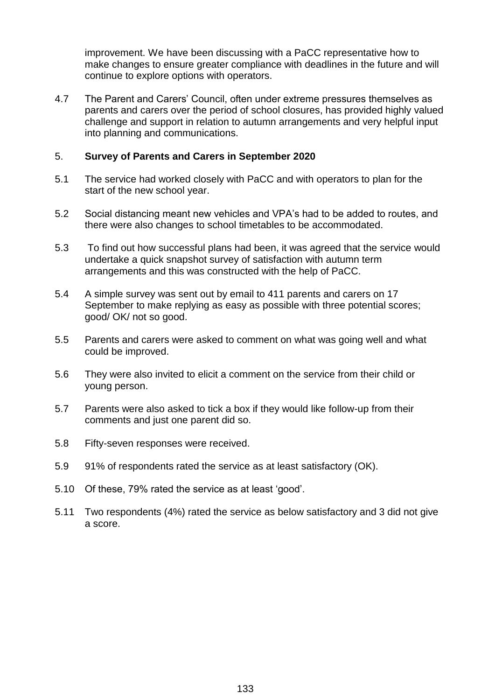improvement. We have been discussing with a PaCC representative how to make changes to ensure greater compliance with deadlines in the future and will continue to explore options with operators.

4.7 The Parent and Carers' Council, often under extreme pressures themselves as parents and carers over the period of school closures, has provided highly valued challenge and support in relation to autumn arrangements and very helpful input into planning and communications.

#### 5. **Survey of Parents and Carers in September 2020**

- 5.1 The service had worked closely with PaCC and with operators to plan for the start of the new school year.
- 5.2 Social distancing meant new vehicles and VPA's had to be added to routes, and there were also changes to school timetables to be accommodated.
- 5.3 To find out how successful plans had been, it was agreed that the service would undertake a quick snapshot survey of satisfaction with autumn term arrangements and this was constructed with the help of PaCC.
- 5.4 A simple survey was sent out by email to 411 parents and carers on 17 September to make replying as easy as possible with three potential scores; good/ OK/ not so good.
- 5.5 Parents and carers were asked to comment on what was going well and what could be improved.
- 5.6 They were also invited to elicit a comment on the service from their child or young person.
- 5.7 Parents were also asked to tick a box if they would like follow-up from their comments and just one parent did so.
- 5.8 Fifty-seven responses were received.
- 5.9 91% of respondents rated the service as at least satisfactory (OK).
- 5.10 Of these, 79% rated the service as at least 'good'.
- 5.11 Two respondents (4%) rated the service as below satisfactory and 3 did not give a score.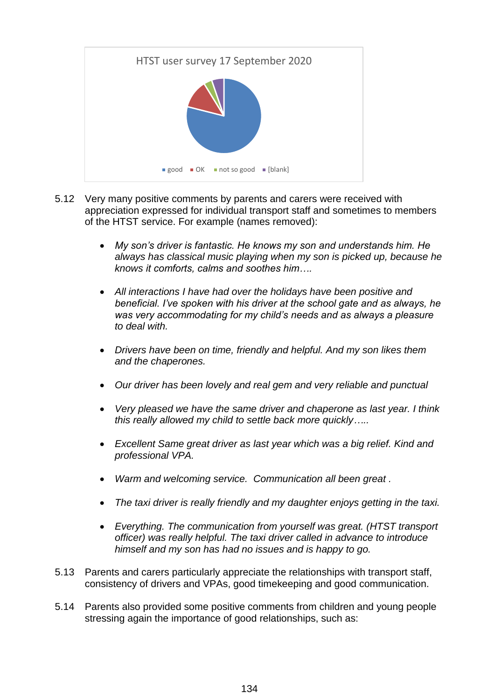

- 5.12 Very many positive comments by parents and carers were received with appreciation expressed for individual transport staff and sometimes to members of the HTST service. For example (names removed):
	- *My son's driver is fantastic. He knows my son and understands him. He always has classical music playing when my son is picked up, because he knows it comforts, calms and soothes him….*
	- *All interactions I have had over the holidays have been positive and beneficial. I've spoken with his driver at the school gate and as always, he was very accommodating for my child's needs and as always a pleasure to deal with.*
	- *Drivers have been on time, friendly and helpful. And my son likes them and the chaperones.*
	- *Our driver has been lovely and real gem and very reliable and punctual*
	- *Very pleased we have the same driver and chaperone as last year. I think this really allowed my child to settle back more quickly…..*
	- *Excellent Same great driver as last year which was a big relief. Kind and professional VPA.*
	- *Warm and welcoming service. Communication all been great .*
	- *The taxi driver is really friendly and my daughter enjoys getting in the taxi.*
	- *Everything. The communication from yourself was great. (HTST transport officer) was really helpful. The taxi driver called in advance to introduce himself and my son has had no issues and is happy to go.*
- 5.13 Parents and carers particularly appreciate the relationships with transport staff, consistency of drivers and VPAs, good timekeeping and good communication.
- 5.14 Parents also provided some positive comments from children and young people stressing again the importance of good relationships, such as: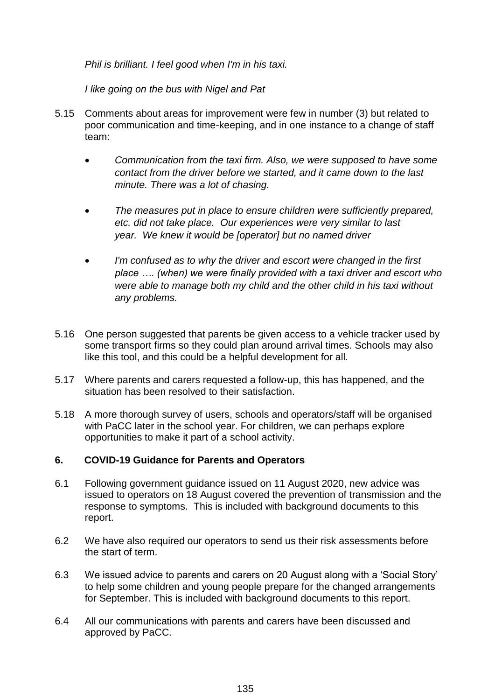*Phil is brilliant. I feel good when I'm in his taxi.*

*I like going on the bus with Nigel and Pat*

- 5.15 Comments about areas for improvement were few in number (3) but related to poor communication and time-keeping, and in one instance to a change of staff team:
	- *Communication from the taxi firm. Also, we were supposed to have some contact from the driver before we started, and it came down to the last minute. There was a lot of chasing.*
	- *The measures put in place to ensure children were sufficiently prepared, etc. did not take place. Our experiences were very similar to last year. We knew it would be [operator] but no named driver*
	- *I'm confused as to why the driver and escort were changed in the first place …. (when) we were finally provided with a taxi driver and escort who were able to manage both my child and the other child in his taxi without any problems.*
- 5.16 One person suggested that parents be given access to a vehicle tracker used by some transport firms so they could plan around arrival times. Schools may also like this tool, and this could be a helpful development for all.
- 5.17 Where parents and carers requested a follow-up, this has happened, and the situation has been resolved to their satisfaction.
- 5.18 A more thorough survey of users, schools and operators/staff will be organised with PaCC later in the school year. For children, we can perhaps explore opportunities to make it part of a school activity.

## **6. COVID-19 Guidance for Parents and Operators**

- 6.1 Following government guidance issued on 11 August 2020, new advice was issued to operators on 18 August covered the prevention of transmission and the response to symptoms. This is included with background documents to this report.
- 6.2 We have also required our operators to send us their risk assessments before the start of term.
- 6.3 We issued advice to parents and carers on 20 August along with a 'Social Story' to help some children and young people prepare for the changed arrangements for September. This is included with background documents to this report.
- 6.4 All our communications with parents and carers have been discussed and approved by PaCC.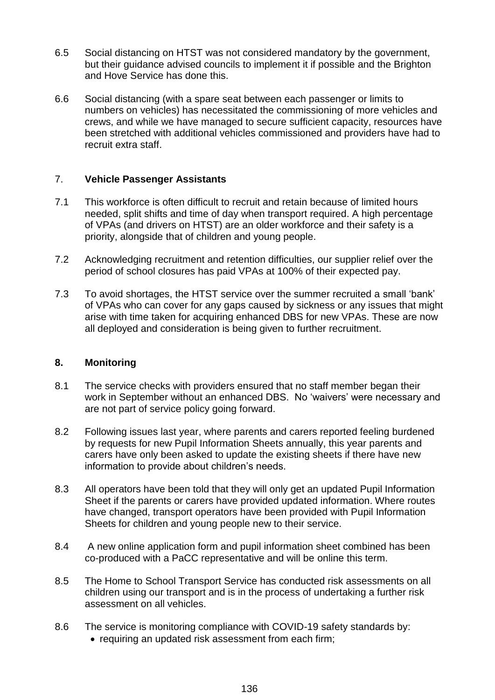- 6.5 Social distancing on HTST was not considered mandatory by the government, but their guidance advised councils to implement it if possible and the Brighton and Hove Service has done this.
- 6.6 Social distancing (with a spare seat between each passenger or limits to numbers on vehicles) has necessitated the commissioning of more vehicles and crews, and while we have managed to secure sufficient capacity, resources have been stretched with additional vehicles commissioned and providers have had to recruit extra staff.

#### 7. **Vehicle Passenger Assistants**

- 7.1 This workforce is often difficult to recruit and retain because of limited hours needed, split shifts and time of day when transport required. A high percentage of VPAs (and drivers on HTST) are an older workforce and their safety is a priority, alongside that of children and young people.
- 7.2 Acknowledging recruitment and retention difficulties, our supplier relief over the period of school closures has paid VPAs at 100% of their expected pay.
- 7.3 To avoid shortages, the HTST service over the summer recruited a small 'bank' of VPAs who can cover for any gaps caused by sickness or any issues that might arise with time taken for acquiring enhanced DBS for new VPAs. These are now all deployed and consideration is being given to further recruitment.

#### **8. Monitoring**

- 8.1 The service checks with providers ensured that no staff member began their work in September without an enhanced DBS. No 'waivers' were necessary and are not part of service policy going forward.
- 8.2 Following issues last year, where parents and carers reported feeling burdened by requests for new Pupil Information Sheets annually, this year parents and carers have only been asked to update the existing sheets if there have new information to provide about children's needs.
- 8.3 All operators have been told that they will only get an updated Pupil Information Sheet if the parents or carers have provided updated information. Where routes have changed, transport operators have been provided with Pupil Information Sheets for children and young people new to their service.
- 8.4 A new online application form and pupil information sheet combined has been co-produced with a PaCC representative and will be online this term.
- 8.5 The Home to School Transport Service has conducted risk assessments on all children using our transport and is in the process of undertaking a further risk assessment on all vehicles.
- 8.6 The service is monitoring compliance with COVID-19 safety standards by: • requiring an updated risk assessment from each firm;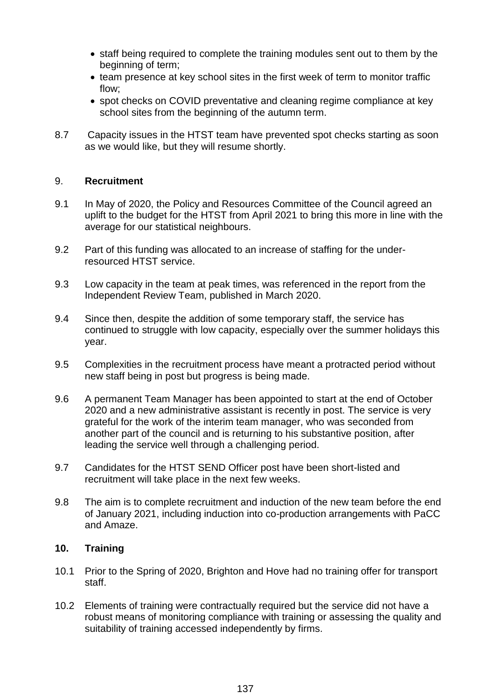- staff being required to complete the training modules sent out to them by the beginning of term;
- team presence at key school sites in the first week of term to monitor traffic flow;
- spot checks on COVID preventative and cleaning regime compliance at key school sites from the beginning of the autumn term.
- 8.7 Capacity issues in the HTST team have prevented spot checks starting as soon as we would like, but they will resume shortly.

#### 9. **Recruitment**

- 9.1 In May of 2020, the Policy and Resources Committee of the Council agreed an uplift to the budget for the HTST from April 2021 to bring this more in line with the average for our statistical neighbours.
- 9.2 Part of this funding was allocated to an increase of staffing for the underresourced HTST service.
- 9.3 Low capacity in the team at peak times, was referenced in the report from the Independent Review Team, published in March 2020.
- 9.4 Since then, despite the addition of some temporary staff, the service has continued to struggle with low capacity, especially over the summer holidays this year.
- 9.5 Complexities in the recruitment process have meant a protracted period without new staff being in post but progress is being made.
- 9.6 A permanent Team Manager has been appointed to start at the end of October 2020 and a new administrative assistant is recently in post. The service is very grateful for the work of the interim team manager, who was seconded from another part of the council and is returning to his substantive position, after leading the service well through a challenging period.
- 9.7 Candidates for the HTST SEND Officer post have been short-listed and recruitment will take place in the next few weeks.
- 9.8 The aim is to complete recruitment and induction of the new team before the end of January 2021, including induction into co-production arrangements with PaCC and Amaze.

#### **10. Training**

- 10.1 Prior to the Spring of 2020, Brighton and Hove had no training offer for transport staff.
- 10.2 Elements of training were contractually required but the service did not have a robust means of monitoring compliance with training or assessing the quality and suitability of training accessed independently by firms.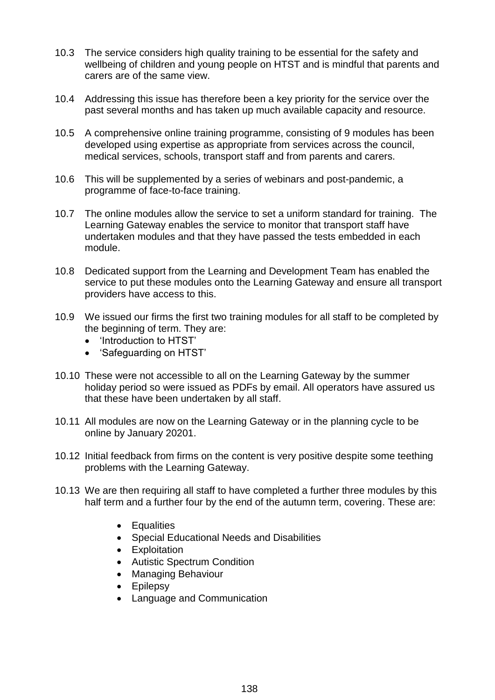- 10.3 The service considers high quality training to be essential for the safety and wellbeing of children and young people on HTST and is mindful that parents and carers are of the same view.
- 10.4 Addressing this issue has therefore been a key priority for the service over the past several months and has taken up much available capacity and resource.
- 10.5 A comprehensive online training programme, consisting of 9 modules has been developed using expertise as appropriate from services across the council, medical services, schools, transport staff and from parents and carers.
- 10.6 This will be supplemented by a series of webinars and post-pandemic, a programme of face-to-face training.
- 10.7 The online modules allow the service to set a uniform standard for training. The Learning Gateway enables the service to monitor that transport staff have undertaken modules and that they have passed the tests embedded in each module.
- 10.8 Dedicated support from the Learning and Development Team has enabled the service to put these modules onto the Learning Gateway and ensure all transport providers have access to this.
- 10.9 We issued our firms the first two training modules for all staff to be completed by the beginning of term. They are:
	- 'Introduction to HTST'
	- 'Safeguarding on HTST'
- 10.10 These were not accessible to all on the Learning Gateway by the summer holiday period so were issued as PDFs by email. All operators have assured us that these have been undertaken by all staff.
- 10.11 All modules are now on the Learning Gateway or in the planning cycle to be online by January 20201.
- 10.12 Initial feedback from firms on the content is very positive despite some teething problems with the Learning Gateway.
- 10.13 We are then requiring all staff to have completed a further three modules by this half term and a further four by the end of the autumn term, covering. These are:
	- Equalities
	- Special Educational Needs and Disabilities
	- Exploitation
	- Autistic Spectrum Condition
	- Managing Behaviour
	- Epilepsy
	- Language and Communication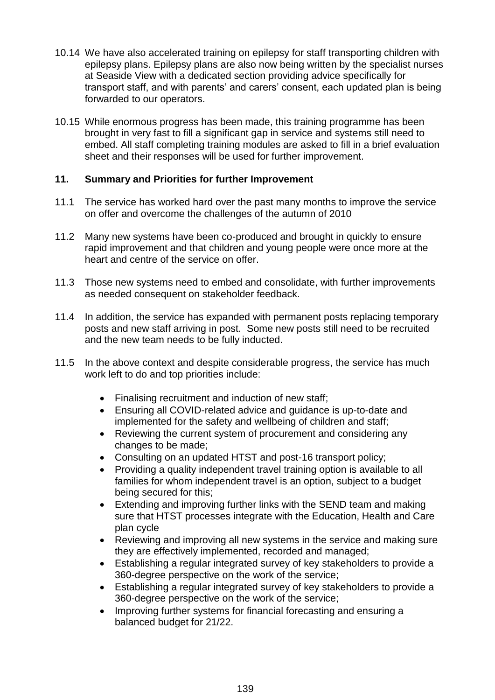- 10.14 We have also accelerated training on epilepsy for staff transporting children with epilepsy plans. Epilepsy plans are also now being written by the specialist nurses at Seaside View with a dedicated section providing advice specifically for transport staff, and with parents' and carers' consent, each updated plan is being forwarded to our operators.
- 10.15 While enormous progress has been made, this training programme has been brought in very fast to fill a significant gap in service and systems still need to embed. All staff completing training modules are asked to fill in a brief evaluation sheet and their responses will be used for further improvement.

#### **11. Summary and Priorities for further Improvement**

- 11.1 The service has worked hard over the past many months to improve the service on offer and overcome the challenges of the autumn of 2010
- 11.2 Many new systems have been co-produced and brought in quickly to ensure rapid improvement and that children and young people were once more at the heart and centre of the service on offer.
- 11.3 Those new systems need to embed and consolidate, with further improvements as needed consequent on stakeholder feedback.
- 11.4 In addition, the service has expanded with permanent posts replacing temporary posts and new staff arriving in post. Some new posts still need to be recruited and the new team needs to be fully inducted.
- 11.5 In the above context and despite considerable progress, the service has much work left to do and top priorities include:
	- Finalising recruitment and induction of new staff;
	- Ensuring all COVID-related advice and guidance is up-to-date and implemented for the safety and wellbeing of children and staff;
	- Reviewing the current system of procurement and considering any changes to be made;
	- Consulting on an updated HTST and post-16 transport policy;
	- Providing a quality independent travel training option is available to all families for whom independent travel is an option, subject to a budget being secured for this;
	- Extending and improving further links with the SEND team and making sure that HTST processes integrate with the Education, Health and Care plan cycle
	- Reviewing and improving all new systems in the service and making sure they are effectively implemented, recorded and managed;
	- Establishing a regular integrated survey of key stakeholders to provide a 360-degree perspective on the work of the service;
	- Establishing a regular integrated survey of key stakeholders to provide a 360-degree perspective on the work of the service;
	- Improving further systems for financial forecasting and ensuring a balanced budget for 21/22.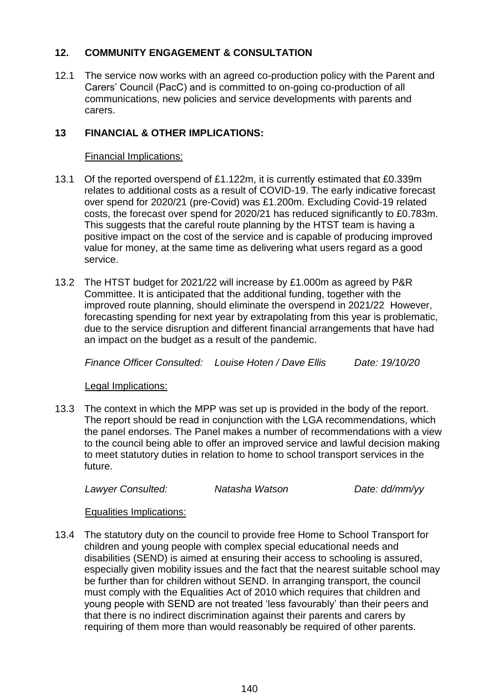## **12. COMMUNITY ENGAGEMENT & CONSULTATION**

12.1 The service now works with an agreed co-production policy with the Parent and Carers' Council (PacC) and is committed to on-going co-production of all communications, new policies and service developments with parents and carers.

# **13 FINANCIAL & OTHER IMPLICATIONS:**

Financial Implications:

- 13.1 Of the reported overspend of £1.122m, it is currently estimated that £0.339m relates to additional costs as a result of COVID-19. The early indicative forecast over spend for 2020/21 (pre-Covid) was £1.200m. Excluding Covid-19 related costs, the forecast over spend for 2020/21 has reduced significantly to £0.783m. This suggests that the careful route planning by the HTST team is having a positive impact on the cost of the service and is capable of producing improved value for money, at the same time as delivering what users regard as a good service.
- 13.2 The HTST budget for 2021/22 will increase by £1.000m as agreed by P&R Committee. It is anticipated that the additional funding, together with the improved route planning, should eliminate the overspend in 2021/22 However, forecasting spending for next year by extrapolating from this year is problematic, due to the service disruption and different financial arrangements that have had an impact on the budget as a result of the pandemic.

*Finance Officer Consulted: Louise Hoten / Dave Ellis Date: 19/10/20*

Legal Implications:

13.3 The context in which the MPP was set up is provided in the body of the report. The report should be read in conjunction with the LGA recommendations, which the panel endorses. The Panel makes a number of recommendations with a view to the council being able to offer an improved service and lawful decision making to meet statutory duties in relation to home to school transport services in the future.

*Lawyer Consulted: Natasha Watson Date: dd/mm/yy*

Equalities Implications:

13.4 The statutory duty on the council to provide free Home to School Transport for children and young people with complex special educational needs and disabilities (SEND) is aimed at ensuring their access to schooling is assured, especially given mobility issues and the fact that the nearest suitable school may be further than for children without SEND. In arranging transport, the council must comply with the Equalities Act of 2010 which requires that children and young people with SEND are not treated 'less favourably' than their peers and that there is no indirect discrimination against their parents and carers by requiring of them more than would reasonably be required of other parents.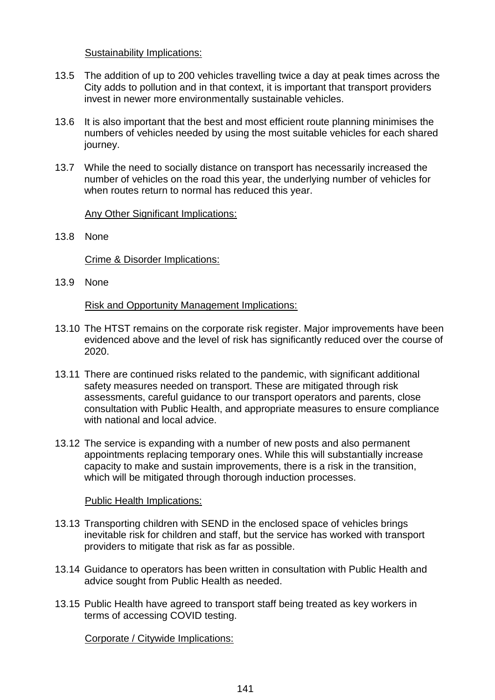#### Sustainability Implications:

- 13.5 The addition of up to 200 vehicles travelling twice a day at peak times across the City adds to pollution and in that context, it is important that transport providers invest in newer more environmentally sustainable vehicles.
- 13.6 It is also important that the best and most efficient route planning minimises the numbers of vehicles needed by using the most suitable vehicles for each shared journey.
- 13.7 While the need to socially distance on transport has necessarily increased the number of vehicles on the road this year, the underlying number of vehicles for when routes return to normal has reduced this year.

Any Other Significant Implications:

13.8 None

Crime & Disorder Implications:

13.9 None

Risk and Opportunity Management Implications:

- 13.10 The HTST remains on the corporate risk register. Major improvements have been evidenced above and the level of risk has significantly reduced over the course of 2020.
- 13.11 There are continued risks related to the pandemic, with significant additional safety measures needed on transport. These are mitigated through risk assessments, careful guidance to our transport operators and parents, close consultation with Public Health, and appropriate measures to ensure compliance with national and local advice.
- 13.12 The service is expanding with a number of new posts and also permanent appointments replacing temporary ones. While this will substantially increase capacity to make and sustain improvements, there is a risk in the transition, which will be mitigated through thorough induction processes.

#### Public Health Implications:

- 13.13 Transporting children with SEND in the enclosed space of vehicles brings inevitable risk for children and staff, but the service has worked with transport providers to mitigate that risk as far as possible.
- 13.14 Guidance to operators has been written in consultation with Public Health and advice sought from Public Health as needed.
- 13.15 Public Health have agreed to transport staff being treated as key workers in terms of accessing COVID testing.

Corporate / Citywide Implications: